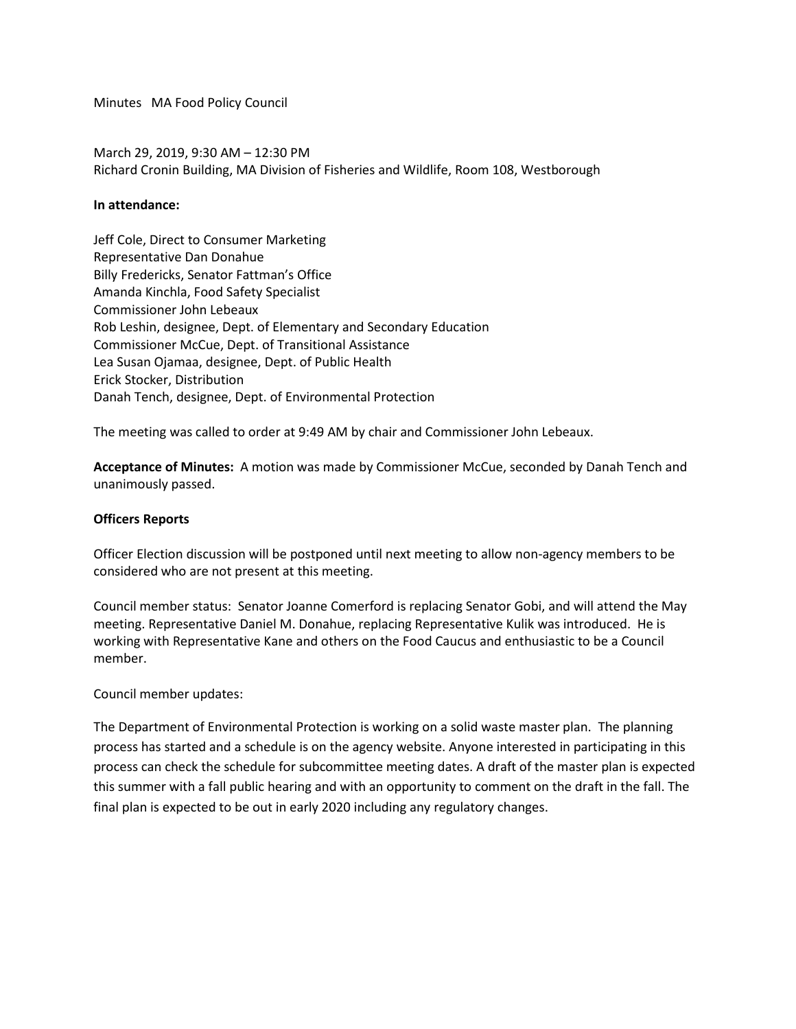Minutes MA Food Policy Council

March 29, 2019, 9:30 AM – 12:30 PM Richard Cronin Building, MA Division of Fisheries and Wildlife, Room 108, Westborough

## **In attendance:**

Jeff Cole, Direct to Consumer Marketing Representative Dan Donahue Billy Fredericks, Senator Fattman's Office Amanda Kinchla, Food Safety Specialist Commissioner John Lebeaux Rob Leshin, designee, Dept. of Elementary and Secondary Education Commissioner McCue, Dept. of Transitional Assistance Lea Susan Ojamaa, designee, Dept. of Public Health Erick Stocker, Distribution Danah Tench, designee, Dept. of Environmental Protection

The meeting was called to order at 9:49 AM by chair and Commissioner John Lebeaux.

**Acceptance of Minutes:** A motion was made by Commissioner McCue, seconded by Danah Tench and unanimously passed.

## **Officers Reports**

Officer Election discussion will be postponed until next meeting to allow non-agency members to be considered who are not present at this meeting.

Council member status: Senator Joanne Comerford is replacing Senator Gobi, and will attend the May meeting. Representative Daniel M. Donahue, replacing Representative Kulik was introduced. He is working with Representative Kane and others on the Food Caucus and enthusiastic to be a Council member.

Council member updates:

The Department of Environmental Protection is working on a solid waste master plan. The planning process has started and a schedule is on the agency website. Anyone interested in participating in this process can check the schedule for subcommittee meeting dates. A draft of the master plan is expected this summer with a fall public hearing and with an opportunity to comment on the draft in the fall. The final plan is expected to be out in early 2020 including any regulatory changes.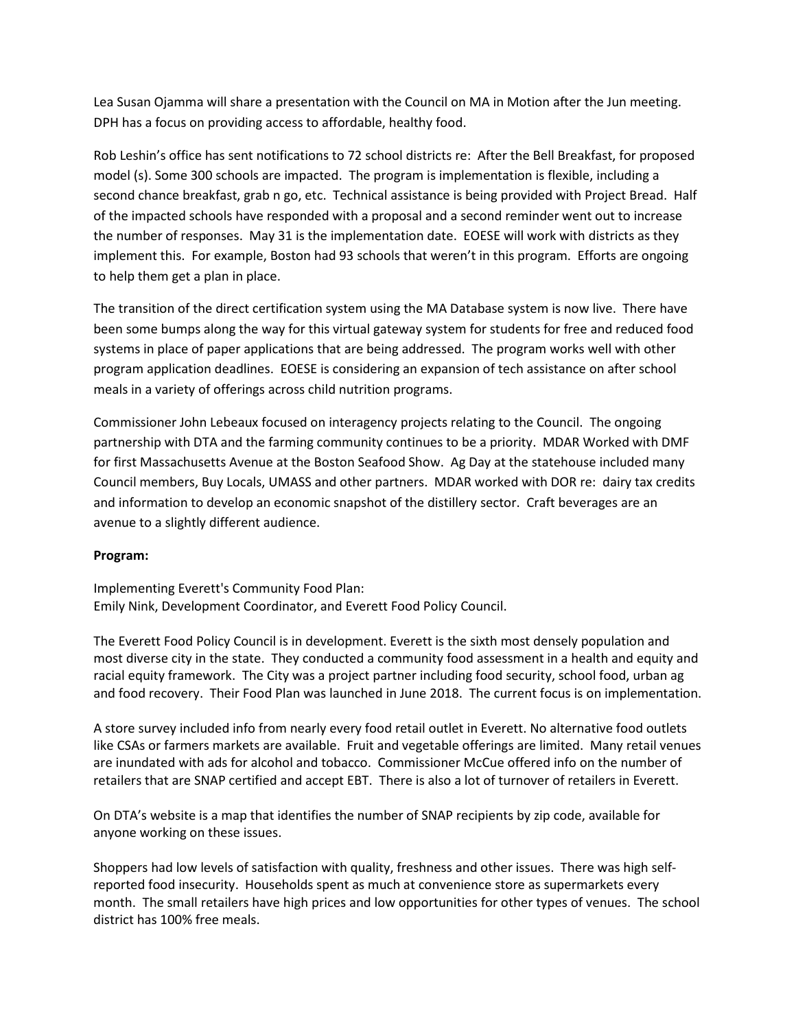Lea Susan Ojamma will share a presentation with the Council on MA in Motion after the Jun meeting. DPH has a focus on providing access to affordable, healthy food.

Rob Leshin's office has sent notifications to 72 school districts re: After the Bell Breakfast, for proposed model (s). Some 300 schools are impacted. The program is implementation is flexible, including a second chance breakfast, grab n go, etc. Technical assistance is being provided with Project Bread. Half of the impacted schools have responded with a proposal and a second reminder went out to increase the number of responses. May 31 is the implementation date. EOESE will work with districts as they implement this. For example, Boston had 93 schools that weren't in this program. Efforts are ongoing to help them get a plan in place.

The transition of the direct certification system using the MA Database system is now live. There have been some bumps along the way for this virtual gateway system for students for free and reduced food systems in place of paper applications that are being addressed. The program works well with other program application deadlines. EOESE is considering an expansion of tech assistance on after school meals in a variety of offerings across child nutrition programs.

Commissioner John Lebeaux focused on interagency projects relating to the Council. The ongoing partnership with DTA and the farming community continues to be a priority. MDAR Worked with DMF for first Massachusetts Avenue at the Boston Seafood Show. Ag Day at the statehouse included many Council members, Buy Locals, UMASS and other partners. MDAR worked with DOR re: dairy tax credits and information to develop an economic snapshot of the distillery sector. Craft beverages are an avenue to a slightly different audience.

## **Program:**

Implementing Everett's Community Food Plan: Emily Nink, Development Coordinator, and Everett Food Policy Council.

The Everett Food Policy Council is in development. Everett is the sixth most densely population and most diverse city in the state. They conducted a community food assessment in a health and equity and racial equity framework. The City was a project partner including food security, school food, urban ag and food recovery. Their Food Plan was launched in June 2018. The current focus is on implementation.

A store survey included info from nearly every food retail outlet in Everett. No alternative food outlets like CSAs or farmers markets are available. Fruit and vegetable offerings are limited. Many retail venues are inundated with ads for alcohol and tobacco. Commissioner McCue offered info on the number of retailers that are SNAP certified and accept EBT. There is also a lot of turnover of retailers in Everett.

On DTA's website is a map that identifies the number of SNAP recipients by zip code, available for anyone working on these issues.

Shoppers had low levels of satisfaction with quality, freshness and other issues. There was high selfreported food insecurity. Households spent as much at convenience store as supermarkets every month. The small retailers have high prices and low opportunities for other types of venues. The school district has 100% free meals.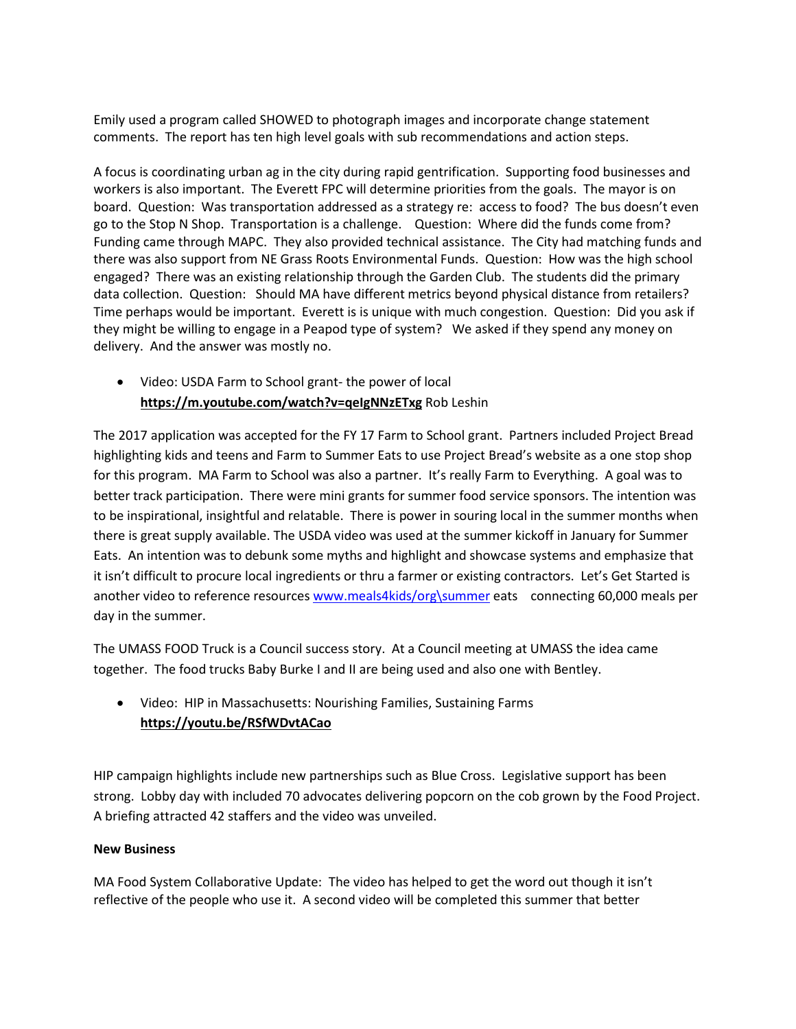Emily used a program called SHOWED to photograph images and incorporate change statement comments. The report has ten high level goals with sub recommendations and action steps.

A focus is coordinating urban ag in the city during rapid gentrification. Supporting food businesses and workers is also important. The Everett FPC will determine priorities from the goals. The mayor is on board. Question: Was transportation addressed as a strategy re: access to food? The bus doesn't even go to the Stop N Shop. Transportation is a challenge. Question: Where did the funds come from? Funding came through MAPC. They also provided technical assistance. The City had matching funds and there was also support from NE Grass Roots Environmental Funds. Question: How was the high school engaged? There was an existing relationship through the Garden Club. The students did the primary data collection. Question: Should MA have different metrics beyond physical distance from retailers? Time perhaps would be important. Everett is is unique with much congestion. Question: Did you ask if they might be willing to engage in a Peapod type of system? We asked if they spend any money on delivery. And the answer was mostly no.

• Video: USDA Farm to School grant- the power of local **<https://m.youtube.com/watch?v=qeIgNNzETxg>** Rob Leshin

The 2017 application was accepted for the FY 17 Farm to School grant. Partners included Project Bread highlighting kids and teens and Farm to Summer Eats to use Project Bread's website as a one stop shop for this program. MA Farm to School was also a partner. It's really Farm to Everything. A goal was to better track participation. There were mini grants for summer food service sponsors. The intention was to be inspirational, insightful and relatable. There is power in souring local in the summer months when there is great supply available. The USDA video was used at the summer kickoff in January for Summer Eats. An intention was to debunk some myths and highlight and showcase systems and emphasize that it isn't difficult to procure local ingredients or thru a farmer or existing contractors. Let's Get Started is another video to reference resources [www.meals4kids/org\summer](http://www.meals4kids/org/summer) eats connecting 60,000 meals per day in the summer.

The UMASS FOOD Truck is a Council success story. At a Council meeting at UMASS the idea came together. The food trucks Baby Burke I and II are being used and also one with Bentley.

• Video:HIP in Massachusetts: Nourishing Families, Sustaining Farms **[https://youtu.be/RSfWDvtACao](https://urldefense.proofpoint.com/v2/url?u=https-3A__youtu.be_RSfWDvtACao&d=DwMF-g&c=lDF7oMaPKXpkYvev9V-fVahWL0QWnGCCAfCDz1Bns_w&r=QMuQbnhNUyyUSokWjYoksm91KQCGKZThMuAGuAA2t90&m=esE-IKdWVvAdd9kKD5fOjMsCs-vgeQl6vZfetYgvKos&s=Am2WTkAAI26l0KN7Em81Y0if322YtAEOAWkxJHtxuY8&e=)**

HIP campaign highlights include new partnerships such as Blue Cross. Legislative support has been strong. Lobby day with included 70 advocates delivering popcorn on the cob grown by the Food Project. A briefing attracted 42 staffers and the video was unveiled.

## **New Business**

MA Food System Collaborative Update: The video has helped to get the word out though it isn't reflective of the people who use it. A second video will be completed this summer that better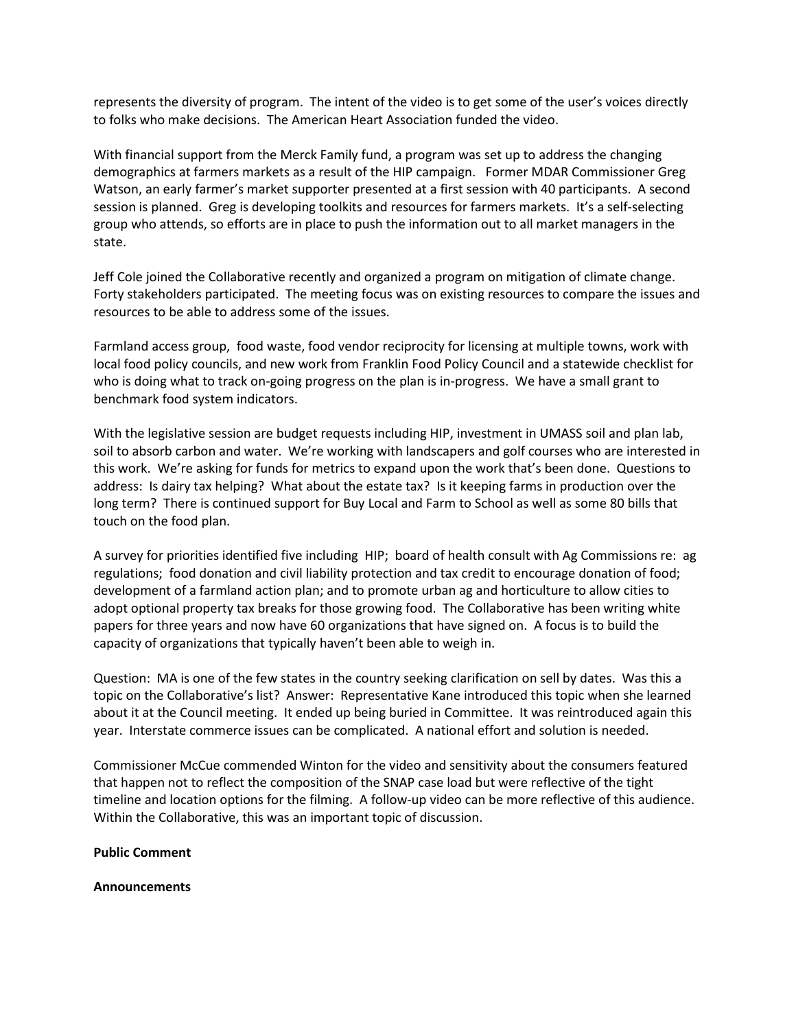represents the diversity of program. The intent of the video is to get some of the user's voices directly to folks who make decisions. The American Heart Association funded the video.

With financial support from the Merck Family fund, a program was set up to address the changing demographics at farmers markets as a result of the HIP campaign. Former MDAR Commissioner Greg Watson, an early farmer's market supporter presented at a first session with 40 participants. A second session is planned. Greg is developing toolkits and resources for farmers markets. It's a self-selecting group who attends, so efforts are in place to push the information out to all market managers in the state.

Jeff Cole joined the Collaborative recently and organized a program on mitigation of climate change. Forty stakeholders participated. The meeting focus was on existing resources to compare the issues and resources to be able to address some of the issues.

Farmland access group, food waste, food vendor reciprocity for licensing at multiple towns, work with local food policy councils, and new work from Franklin Food Policy Council and a statewide checklist for who is doing what to track on-going progress on the plan is in-progress. We have a small grant to benchmark food system indicators.

With the legislative session are budget requests including HIP, investment in UMASS soil and plan lab, soil to absorb carbon and water. We're working with landscapers and golf courses who are interested in this work. We're asking for funds for metrics to expand upon the work that's been done. Questions to address: Is dairy tax helping? What about the estate tax? Is it keeping farms in production over the long term? There is continued support for Buy Local and Farm to School as well as some 80 bills that touch on the food plan.

A survey for priorities identified five including HIP; board of health consult with Ag Commissions re: ag regulations; food donation and civil liability protection and tax credit to encourage donation of food; development of a farmland action plan; and to promote urban ag and horticulture to allow cities to adopt optional property tax breaks for those growing food. The Collaborative has been writing white papers for three years and now have 60 organizations that have signed on. A focus is to build the capacity of organizations that typically haven't been able to weigh in.

Question: MA is one of the few states in the country seeking clarification on sell by dates. Was this a topic on the Collaborative's list? Answer: Representative Kane introduced this topic when she learned about it at the Council meeting. It ended up being buried in Committee. It was reintroduced again this year. Interstate commerce issues can be complicated. A national effort and solution is needed.

Commissioner McCue commended Winton for the video and sensitivity about the consumers featured that happen not to reflect the composition of the SNAP case load but were reflective of the tight timeline and location options for the filming. A follow-up video can be more reflective of this audience. Within the Collaborative, this was an important topic of discussion.

**Public Comment**

**Announcements**